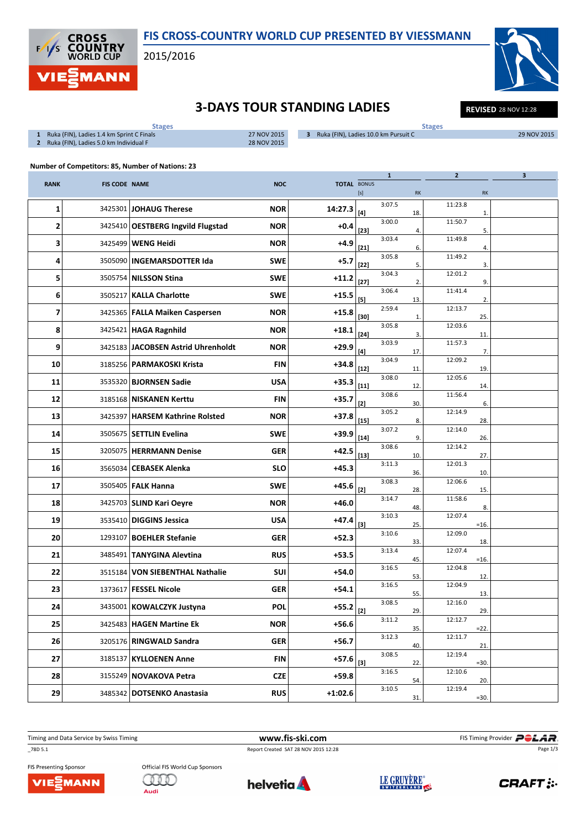

## FIS CROSS-COUNTRY WORLD CUP PRESENTED BY VIESSMANN

2015/2016

29 NOV 2015

## **3-DAYS TOUR STANDING LADIES** REVISED 28 NOV 12:28

| <b>Stages</b>                                    | <b>Stages</b> |                                                        |    |  |  |  |  |  |
|--------------------------------------------------|---------------|--------------------------------------------------------|----|--|--|--|--|--|
| Ruka (FIN), Ladies 1.4 km Sprint C Finals        | 27 NOV 2015   | Ruka (FIN), Ladies 10.0 km Pursuit C<br>3 <sup>1</sup> | 29 |  |  |  |  |  |
| Ruka (FIN), Ladies 5.0 km Individual F<br>2      | 28 NOV 2015   |                                                        |    |  |  |  |  |  |
| Number of Competitors: 85, Number of Nations: 23 |               |                                                        |    |  |  |  |  |  |
|                                                  |               |                                                        |    |  |  |  |  |  |
| <b>RANK</b><br><b>FIS CODE NAME</b>              | <b>NOC</b>    | <b>TOTAL BONUS</b>                                     |    |  |  |  |  |  |
|                                                  |               |                                                        |    |  |  |  |  |  |
|                                                  |               | <b>RK</b><br><b>RK</b><br>[s]                          |    |  |  |  |  |  |

|                |         |                                    |            |           | $[s] % \begin{center} % \includegraphics[width=\linewidth]{imagesSupplemental_3.png} % \end{center} % \caption { % \textit{DefNet} of the \textit{DefNet} dataset. % Note that the \textit{DefNet} and \textit{DefNet} dataset. % Note that the \textit{DefNet} and \textit{DefNet} dataset. % Note that the \textit{DefNet} and \textit{DefNet} dataset. % Note that the \textit{DefNet} and \textit{DefNet} dataset. % Note that the \textit{DefNet} and \textit{DefNet} dataset. % Note that the \textit{DefNet} and \textit{DefNet} dataset. % Note that the \textit{DefNet} and \textit{DefNet} dataset. % Note that the \textit{DefNet} and \textit{DefNet}$ |        | $\mathsf{RK}$ |         | RK           |  |
|----------------|---------|------------------------------------|------------|-----------|--------------------------------------------------------------------------------------------------------------------------------------------------------------------------------------------------------------------------------------------------------------------------------------------------------------------------------------------------------------------------------------------------------------------------------------------------------------------------------------------------------------------------------------------------------------------------------------------------------------------------------------------------------------------|--------|---------------|---------|--------------|--|
| 1              | 3425301 | <b>JOHAUG Therese</b>              | <b>NOR</b> | 14:27.3   | [4]                                                                                                                                                                                                                                                                                                                                                                                                                                                                                                                                                                                                                                                                | 3:07.5 | 18.           | 11:23.8 | $\mathbf{1}$ |  |
| 2              |         | 3425410 OESTBERG Ingvild Flugstad  | <b>NOR</b> | $+0.4$    | $[23]$                                                                                                                                                                                                                                                                                                                                                                                                                                                                                                                                                                                                                                                             | 3:00.0 | 4.            | 11:50.7 | 5.           |  |
| 3              |         | 3425499   WENG Heidi               | <b>NOR</b> | $+4.9$    | $[21]$                                                                                                                                                                                                                                                                                                                                                                                                                                                                                                                                                                                                                                                             | 3:03.4 | 6.            | 11:49.8 | 4.           |  |
| 4              |         | 3505090   INGEMARSDOTTER Ida       | <b>SWE</b> | $+5.7$    | $[22]$                                                                                                                                                                                                                                                                                                                                                                                                                                                                                                                                                                                                                                                             | 3:05.8 | 5.            | 11:49.2 | 3.           |  |
| 5              |         | 3505754 NILSSON Stina              | <b>SWE</b> | $+11.2$   | $[27]$                                                                                                                                                                                                                                                                                                                                                                                                                                                                                                                                                                                                                                                             | 3:04.3 | 2.            | 12:01.2 | 9.           |  |
| 6              |         | 3505217   KALLA Charlotte          | <b>SWE</b> | $+15.5$   | $[5]$                                                                                                                                                                                                                                                                                                                                                                                                                                                                                                                                                                                                                                                              | 3:06.4 | 13.           | 11:41.4 | 2.           |  |
| $\overline{7}$ |         | 3425365   FALLA Maiken Caspersen   | <b>NOR</b> | $+15.8$   | [30]                                                                                                                                                                                                                                                                                                                                                                                                                                                                                                                                                                                                                                                               | 2:59.4 | $\mathbf{1}$  | 12:13.7 | 25.          |  |
| 8              |         | 3425421   HAGA Ragnhild            | <b>NOR</b> | $+18.1$   | $[24]$                                                                                                                                                                                                                                                                                                                                                                                                                                                                                                                                                                                                                                                             | 3:05.8 | 3.            | 12:03.6 | 11.          |  |
| 9              |         | 3425183 JACOBSEN Astrid Uhrenholdt | <b>NOR</b> | $+29.9$   | $^{[4]}$                                                                                                                                                                                                                                                                                                                                                                                                                                                                                                                                                                                                                                                           | 3:03.9 | 17.           | 11:57.3 | 7.           |  |
| 10             | 3185256 | <b>PARMAKOSKI Krista</b>           | <b>FIN</b> | $+34.8$   | $[12]$                                                                                                                                                                                                                                                                                                                                                                                                                                                                                                                                                                                                                                                             | 3:04.9 | 11            | 12:09.2 | 19.          |  |
| 11             |         | 3535320   <b>BJORNSEN Sadie</b>    | <b>USA</b> | $+35.3$   | $[11]$                                                                                                                                                                                                                                                                                                                                                                                                                                                                                                                                                                                                                                                             | 3:08.0 | 12.           | 12:05.6 | 14           |  |
| 12             | 3185168 | NISKANEN Kerttu                    | <b>FIN</b> | $+35.7$   | [2]                                                                                                                                                                                                                                                                                                                                                                                                                                                                                                                                                                                                                                                                | 3:08.6 | 30.           | 11:56.4 | 6.           |  |
| 13             | 3425397 | <b>HARSEM Kathrine Rolsted</b>     | <b>NOR</b> | $+37.8$   | $[15]$                                                                                                                                                                                                                                                                                                                                                                                                                                                                                                                                                                                                                                                             | 3:05.2 | 8.            | 12:14.9 | 28.          |  |
| 14             |         | 3505675   SETTLIN Evelina          | <b>SWE</b> | $+39.9$   | $[14]$                                                                                                                                                                                                                                                                                                                                                                                                                                                                                                                                                                                                                                                             | 3:07.2 | 9.            | 12:14.0 | 26.          |  |
| 15             |         | 3205075   HERRMANN Denise          | <b>GER</b> | $+42.5$   | $[13]$                                                                                                                                                                                                                                                                                                                                                                                                                                                                                                                                                                                                                                                             | 3:08.6 | 10.           | 12:14.2 | 27.          |  |
| 16             | 3565034 | <b>CEBASEK Alenka</b>              | <b>SLO</b> | $+45.3$   |                                                                                                                                                                                                                                                                                                                                                                                                                                                                                                                                                                                                                                                                    | 3:11.3 | 36.           | 12:01.3 | 10           |  |
| 17             |         | 3505405   FALK Hanna               | <b>SWE</b> | +45.6     | $[2]$                                                                                                                                                                                                                                                                                                                                                                                                                                                                                                                                                                                                                                                              | 3:08.3 | 28.           | 12:06.6 | 15.          |  |
| 18             |         | 3425703   SLIND Kari Oeyre         | <b>NOR</b> | $+46.0$   |                                                                                                                                                                                                                                                                                                                                                                                                                                                                                                                                                                                                                                                                    | 3:14.7 | 48.           | 11:58.6 | 8.           |  |
| 19             |         | 3535410 DIGGINS Jessica            | <b>USA</b> | $+47.4$   | $[3]$                                                                                                                                                                                                                                                                                                                                                                                                                                                                                                                                                                                                                                                              | 3:10.3 | 25.           | 12:07.4 | $=16$        |  |
| 20             |         | 1293107 BOEHLER Stefanie           | <b>GER</b> | $+52.3$   |                                                                                                                                                                                                                                                                                                                                                                                                                                                                                                                                                                                                                                                                    | 3:10.6 | 33.           | 12:09.0 | 18.          |  |
| 21             | 3485491 | TANYGINA Alevtina                  | <b>RUS</b> | $+53.5$   |                                                                                                                                                                                                                                                                                                                                                                                                                                                                                                                                                                                                                                                                    | 3:13.4 | 45.           | 12:07.4 | $=16$        |  |
| 22             | 3515184 | <b>VON SIEBENTHAL Nathalie</b>     | <b>SUI</b> | $+54.0$   |                                                                                                                                                                                                                                                                                                                                                                                                                                                                                                                                                                                                                                                                    | 3:16.5 | 53.           | 12:04.8 | 12.          |  |
| 23             |         | 1373617   FESSEL Nicole            | <b>GER</b> | $+54.1$   |                                                                                                                                                                                                                                                                                                                                                                                                                                                                                                                                                                                                                                                                    | 3:16.5 | 55.           | 12:04.9 | 13.          |  |
| 24             |         | 3435001   KOWALCZYK Justyna        | <b>POL</b> | $+55.2$   | [2]                                                                                                                                                                                                                                                                                                                                                                                                                                                                                                                                                                                                                                                                | 3:08.5 | 29.           | 12:16.0 | 29.          |  |
| 25             |         | 3425483   HAGEN Martine Ek         | <b>NOR</b> | $+56.6$   |                                                                                                                                                                                                                                                                                                                                                                                                                                                                                                                                                                                                                                                                    | 3:11.2 | 35.           | 12:12.7 | $=22$        |  |
| 26             |         | 3205176 RINGWALD Sandra            | <b>GER</b> | $+56.7$   |                                                                                                                                                                                                                                                                                                                                                                                                                                                                                                                                                                                                                                                                    | 3:12.3 | 40.           | 12:11.7 | 21           |  |
| 27             | 3185137 | <b>KYLLOENEN Anne</b>              | <b>FIN</b> | $+57.6$   | [3]                                                                                                                                                                                                                                                                                                                                                                                                                                                                                                                                                                                                                                                                | 3:08.5 | 22.           | 12:19.4 | $= 30.$      |  |
| 28             | 3155249 | <b>NOVAKOVA Petra</b>              | <b>CZE</b> | $+59.8$   |                                                                                                                                                                                                                                                                                                                                                                                                                                                                                                                                                                                                                                                                    | 3:16.5 | 54.           | 12:10.6 | 20.          |  |
| 29             |         | 3485342 DOTSENKO Anastasia         | <b>RUS</b> | $+1:02.6$ |                                                                                                                                                                                                                                                                                                                                                                                                                                                                                                                                                                                                                                                                    | 3:10.5 | 31.           | 12:19.4 | $=30.$       |  |

\_78D 5.1 Report Created SAT 28 NOV 2015 12:28

Timing and Data Service by Swiss Timing **WWW.fis-ski.com WWW.fis-Ski.com** FIS Timing Provider **PCLAR**. Page 1/3

FIS Presenting Sponsor VIEZMANN Official FIS World Cup Sponsors GHIO Audi





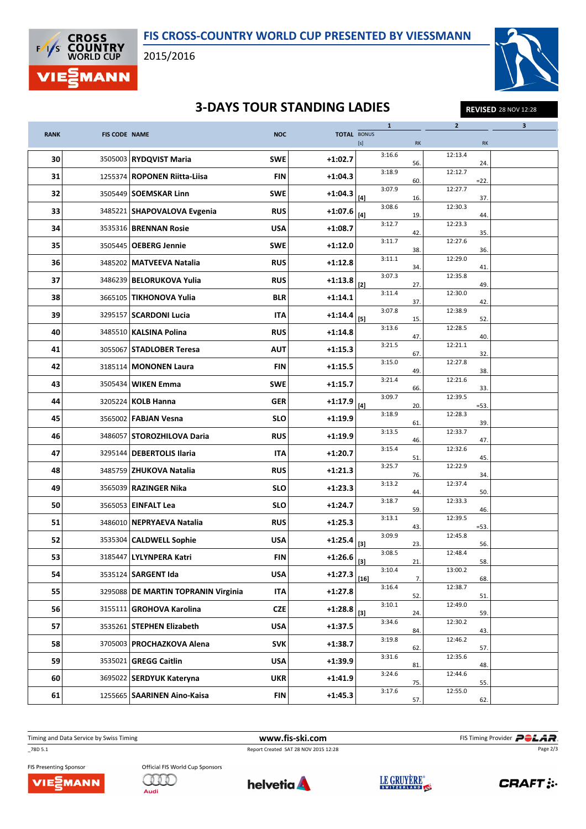



2015/2016



## **3-DAYS TOUR STANDING LADIES** REVISED 28 NOV 12:28

|             |                      |                                |            |           |                                                                                                                                                                                                            | $\mathbf{1}$ |     | $\mathbf{2}$      |     | 3 |
|-------------|----------------------|--------------------------------|------------|-----------|------------------------------------------------------------------------------------------------------------------------------------------------------------------------------------------------------------|--------------|-----|-------------------|-----|---|
| <b>RANK</b> | <b>FIS CODE NAME</b> |                                | <b>NOC</b> |           | <b>TOTAL BONUS</b>                                                                                                                                                                                         |              | RK  |                   | RK  |   |
| 30          |                      | 3505003 RYDQVIST Maria         | <b>SWE</b> | $+1:02.7$ |                                                                                                                                                                                                            | 3:16.6       | 56. | 12:13.4           | 24. |   |
| 31          |                      | 1255374   ROPONEN Riitta-Liisa | FIN        | $+1:04.3$ |                                                                                                                                                                                                            | 3:18.9       | 60. | 12:12.7<br>$=22.$ |     |   |
| 32          |                      | 3505449   SOEMSKAR Linn        | <b>SWE</b> | $+1:04.3$ | $[4]$                                                                                                                                                                                                      | 3:07.9       | 16. | 12:27.7           | 37. |   |
| 33          |                      | 3485221   SHAPOVALOVA Evgenia  | <b>RUS</b> | $+1:07.6$ | $[4] % \includegraphics[width=0.9\columnwidth]{images/TrDiS-Architecture.png} % \caption{The figure shows the number of parameters of the estimators in the left and right.} \label{TrDiS-Architecture} %$ | 3:08.6       | 19. | 12:30.3           | 44. |   |
| 34          |                      | 3535316   BRENNAN Rosie        | <b>USA</b> | $+1:08.7$ |                                                                                                                                                                                                            | 3:12.7       | 42. | 12:23.3           | 35. |   |
| 35          |                      | 3505445   OEBERG Jennie        | <b>SWE</b> | $+1:12.0$ |                                                                                                                                                                                                            | 3:11.7       | 38. | 12:27.6           | 36. |   |
| 36          |                      | 3485202   MATVEEVA Natalia     | <b>RUS</b> | $+1:12.8$ |                                                                                                                                                                                                            | 3:11.1       | 34. | 12:29.0           | 41. |   |
| 37          |                      | 3486239 BELORUKOVA Yulia       | <b>RUS</b> | $+1:13.8$ | $[2]$                                                                                                                                                                                                      | 3:07.3       | 27. | 12:35.8           | 49. |   |
| 38          |                      | 3665105   TIKHONOVA Yulia      | <b>BLR</b> | $+1:14.1$ |                                                                                                                                                                                                            | 3:11.4       | 37. | 12:30.0           | 42. |   |
| 39          |                      | 3295157   SCARDONI Lucia       | ITA        | $+1:14.4$ |                                                                                                                                                                                                            | 3:07.8       | 15. | 12:38.9           | 52. |   |
| 40          |                      | 3485510   KALSINA Polina       | <b>RUS</b> | $+1:14.8$ |                                                                                                                                                                                                            | 3:13.6       | 47. | 12:28.5           | 40. |   |
| 41          |                      | 3055067   STADLOBER Teresa     | <b>AUT</b> | $+1:15.3$ |                                                                                                                                                                                                            | 3:21.5       | 67  | 12:21.1           | 32. |   |
| 42          |                      | 3185114   MONONEN Laura        | <b>FIN</b> | $+1:15.5$ |                                                                                                                                                                                                            | 3:15.0       | 49. | 12:27.8           | 38. |   |
| 43          |                      | 3505434   WIKEN Emma           | <b>SWE</b> | $+1:15.7$ |                                                                                                                                                                                                            | 3:21.4       | 66. | 12:21.6           | 33. |   |
| 44          |                      | 3205224 KOLB Hanna             | <b>GER</b> | $+1:17.9$ | $[4]$                                                                                                                                                                                                      | 3:09.7       | 20. | 12:39.5<br>$=53.$ |     |   |
| 45          |                      | 3565002   FABJAN Vesna         | <b>SLO</b> | $+1:19.9$ |                                                                                                                                                                                                            | 3:18.9       | 61. | 12:28.3           | 39. |   |
| 46          |                      | 3486057   STOROZHILOVA Daria   | <b>RUS</b> | $+1:19.9$ |                                                                                                                                                                                                            | 3:13.5       | 46. | 12:33.7           | 47. |   |
| 47          |                      | 3295144   DEBERTOLIS Ilaria    | <b>ITA</b> | $+1:20.7$ |                                                                                                                                                                                                            | 3:15.4       | 51. | 12:32.6           | 45. |   |
| 48          |                      | 3485759 ZHUKOVA Natalia        | <b>RUS</b> | $+1:21.3$ |                                                                                                                                                                                                            | 3:25.7       | 76. | 12:22.9           | 34. |   |
| 49          |                      | 3565039 RAZINGER Nika          | <b>SLO</b> | $+1:23.3$ |                                                                                                                                                                                                            | 3:13.2       | 44. | 12:37.4           | 50. |   |
| 50          |                      | 3565053   EINFALT Lea          | <b>SLO</b> | $+1:24.7$ |                                                                                                                                                                                                            | 3:18.7       | 59  | 12:33.3           | 46. |   |
| 51          |                      | 3486010 NEPRYAEVA Natalia      | <b>RUS</b> | $+1:25.3$ |                                                                                                                                                                                                            | 3:13.1       | 43. | 12:39.5<br>$=53.$ |     |   |
| 52          |                      | 3535304 CALDWELL Sophie        | <b>USA</b> | $+1:25.4$ | [3]                                                                                                                                                                                                        | 3:09.9       | 23. | 12:45.8           | 56. |   |
| 53          |                      | 3185447   LYLYNPERA Katri      | <b>FIN</b> | $+1:26.6$ | [3]                                                                                                                                                                                                        | 3:08.5       | 21. | 12:48.4           | 58. |   |
| 54          |                      | 3535124 SARGENT Ida            | <b>USA</b> | $+1:27.3$ | $[16]$                                                                                                                                                                                                     | 3:10.4       | 7.  | 13:00.2           | 68. |   |
| 55          | 3295088              | DE MARTIN TOPRANIN Virginia    | <b>ITA</b> | $+1:27.8$ |                                                                                                                                                                                                            | 3:16.4       | 52. | 12:38.7           | 51. |   |
| 56          |                      | 3155111 GROHOVA Karolina       | <b>CZE</b> | $+1:28.8$ | $[3]$                                                                                                                                                                                                      | 3:10.1       | 24. | 12:49.0           | 59. |   |
| 57          | 3535261              | <b>STEPHEN Elizabeth</b>       | <b>USA</b> | $+1:37.5$ |                                                                                                                                                                                                            | 3:34.6       | 84. | 12:30.2           | 43. |   |
| 58          | 3705003              | <b>PROCHAZKOVA Alena</b>       | <b>SVK</b> | $+1:38.7$ |                                                                                                                                                                                                            | 3:19.8       | 62. | 12:46.2           | 57. |   |
| 59          |                      | 3535021 GREGG Caitlin          | <b>USA</b> | $+1:39.9$ |                                                                                                                                                                                                            | 3:31.6       | 81. | 12:35.6           | 48. |   |
| 60          |                      | 3695022 SERDYUK Kateryna       | <b>UKR</b> | $+1:41.9$ |                                                                                                                                                                                                            | 3:24.6       | 75. | 12:44.6           | 55. |   |
| 61          |                      | 1255665   SAARINEN Aino-Kaisa  | <b>FIN</b> | $+1:45.3$ |                                                                                                                                                                                                            | 3:17.6       | 57. | 12:55.0           | 62. |   |

\_78D 5.1 Report Created SAT 28 NOV 2015 12:28

Timing and Data Service by Swiss Timing **WWW.fis-ski.com WWW.fis-Ski.com** FIS Timing Provider **PCLAR**. Page 2/3

FIS Presenting Sponsor VIEZMANN Official FIS World Cup Sponsors GHIO Audi